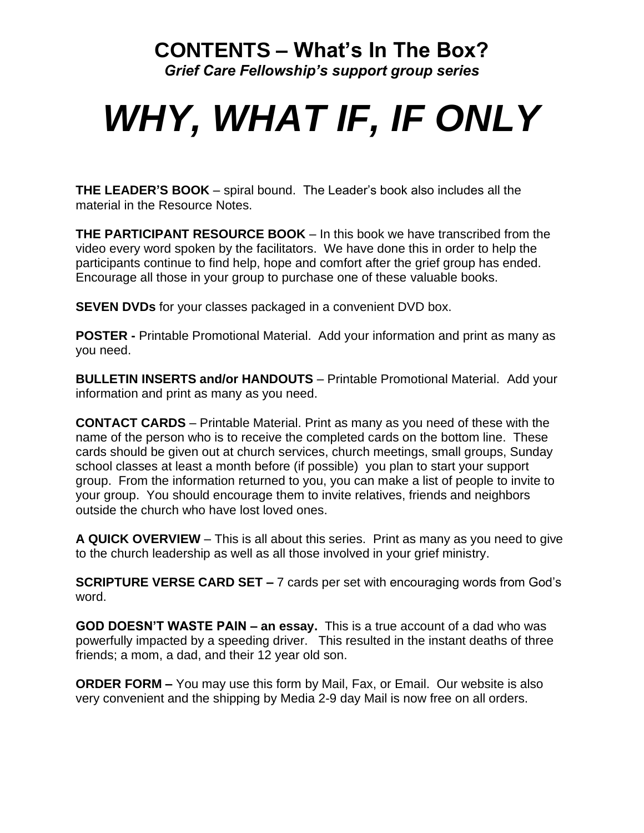## **CONTENTS – What's In The Box?**

*Grief Care Fellowship's support group series*

## *WHY, WHAT IF, IF ONLY*

**THE LEADER'S BOOK** – spiral bound. The Leader's book also includes all the material in the Resource Notes.

**THE PARTICIPANT RESOURCE BOOK** – In this book we have transcribed from the video every word spoken by the facilitators. We have done this in order to help the participants continue to find help, hope and comfort after the grief group has ended. Encourage all those in your group to purchase one of these valuable books.

**SEVEN DVDs** for your classes packaged in a convenient DVD box.

**POSTER -** Printable Promotional Material. Add your information and print as many as you need.

**BULLETIN INSERTS and/or HANDOUTS** – Printable Promotional Material. Add your information and print as many as you need.

**CONTACT CARDS** – Printable Material. Print as many as you need of these with the name of the person who is to receive the completed cards on the bottom line. These cards should be given out at church services, church meetings, small groups, Sunday school classes at least a month before (if possible) you plan to start your support group. From the information returned to you, you can make a list of people to invite to your group. You should encourage them to invite relatives, friends and neighbors outside the church who have lost loved ones.

**A QUICK OVERVIEW** – This is all about this series. Print as many as you need to give to the church leadership as well as all those involved in your grief ministry.

**SCRIPTURE VERSE CARD SET –** 7 cards per set with encouraging words from God's word.

**GOD DOESN'T WASTE PAIN – an essay.** This is a true account of a dad who was powerfully impacted by a speeding driver. This resulted in the instant deaths of three friends; a mom, a dad, and their 12 year old son.

**ORDER FORM –** You may use this form by Mail, Fax, or Email. Our website is also very convenient and the shipping by Media 2-9 day Mail is now free on all orders.